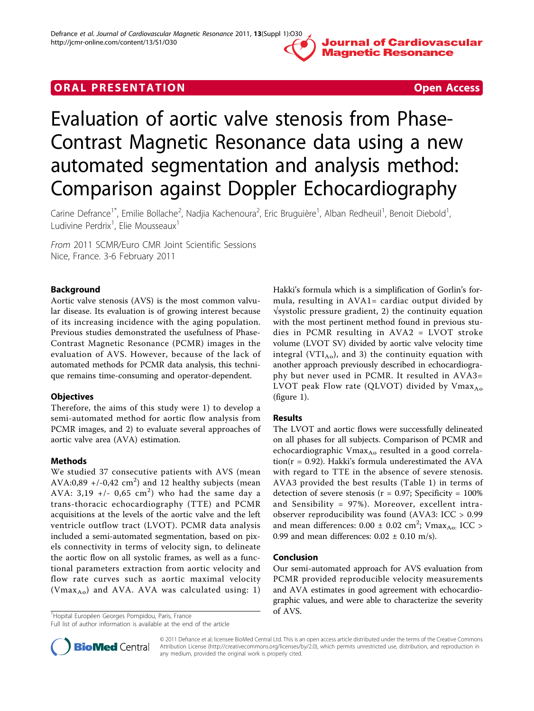

# **ORAL PRESENTATION CONSUMING A RESENTATION**

# Evaluation of aortic valve stenosis from Phase-Contrast Magnetic Resonance data using a new automated segmentation and analysis method: Comparison against Doppler Echocardiography

Carine Defrance<sup>1\*</sup>, Emilie Bollache<sup>2</sup>, Nadjia Kachenoura<sup>2</sup>, Eric Bruguière<sup>1</sup>, Alban Redheuil<sup>1</sup>, Benoit Diebold<sup>1</sup> , Ludivine Perdrix<sup>1</sup>, Elie Mousseaux<sup>1</sup>

From 2011 SCMR/Euro CMR Joint Scientific Sessions Nice, France. 3-6 February 2011

# Background

Aortic valve stenosis (AVS) is the most common valvular disease. Its evaluation is of growing interest because of its increasing incidence with the aging population. Previous studies demonstrated the usefulness of Phase-Contrast Magnetic Resonance (PCMR) images in the evaluation of AVS. However, because of the lack of automated methods for PCMR data analysis, this technique remains time-consuming and operator-dependent.

# **Objectives**

Therefore, the aims of this study were 1) to develop a semi-automated method for aortic flow analysis from PCMR images, and 2) to evaluate several approaches of aortic valve area (AVA) estimation.

# Methods

We studied 37 consecutive patients with AVS (mean AVA:0,89 +/-0,42  $\text{cm}^2$ ) and 12 healthy subjects (mean AVA: 3,19 +/- 0,65  $\text{cm}^2$ ) who had the same day a trans-thoracic echocardiography (TTE) and PCMR acquisitions at the levels of the aortic valve and the left ventricle outflow tract (LVOT). PCMR data analysis included a semi-automated segmentation, based on pixels connectivity in terms of velocity sign, to delineate the aortic flow on all systolic frames, as well as a functional parameters extraction from aortic velocity and flow rate curves such as aortic maximal velocity (Vmax<sub>Ao</sub>) and AVA. AVA was calculated using: 1)

 $^{1}$ Hopital Européen Georges Pompidou, Paris, France **on an algebra 1996 and 7 and 7 and 7 and 7 and 7 and 7 and 7 and 7 and 7 and 7 and 7 and 7 and 7 and 7 and 7 and 7 and 7 and 7 and 7 and 7 and 7 and 7 and 7 and 7 and** 

Full list of author information is available at the end of the article



# Results

The LVOT and aortic flows were successfully delineated on all phases for all subjects. Comparison of PCMR and echocardiographic Vmax<sub>Ao</sub> resulted in a good correlation( $r = 0.92$ ). Hakki's formula underestimated the AVA with regard to TTE in the absence of severe stenosis. AVA3 provided the best results (Table [1](#page-1-0)) in terms of detection of severe stenosis ( $r = 0.97$ ; Specificity = 100% and Sensibility = 97%). Moreover, excellent intraobserver reproducibility was found (AVA3: ICC > 0.99 and mean differences:  $0.00 \pm 0.02 \text{ cm}^2$ ; Vmax<sub>Ao:</sub> ICC > 0.99 and mean differences:  $0.02 \pm 0.10$  m/s).

#### Conclusion

Our semi-automated approach for AVS evaluation from PCMR provided reproducible velocity measurements and AVA estimates in good agreement with echocardiographic values, and were able to characterize the severity



© 2011 Defrance et al; licensee BioMed Central Ltd. This is an open access article distributed under the terms of the Creative Commons Attribution License [\(http://creativecommons.org/licenses/by/2.0](http://creativecommons.org/licenses/by/2.0)), which permits unrestricted use, distribution, and reproduction in any medium, provided the original work is properly cited.